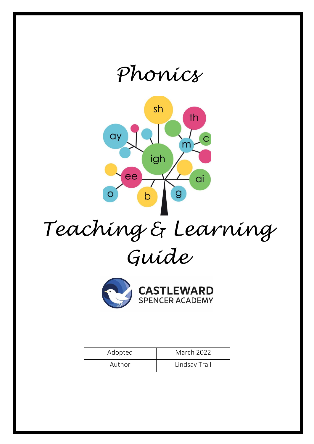



# *Teaching & Learning Guide*



| Adopted | <b>March 2022</b> |
|---------|-------------------|
| Author  | Lindsay Trail     |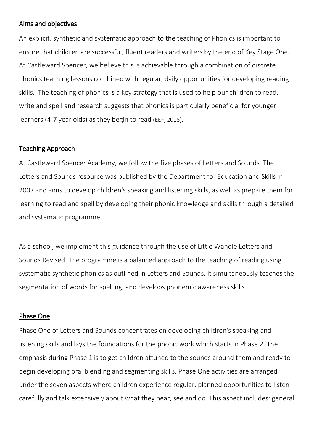## Aims and objectives

An explicit, synthetic and systematic approach to the teaching of Phonics is important to ensure that children are successful, fluent readers and writers by the end of Key Stage One. At Castleward Spencer, we believe this is achievable through a combination of discrete phonics teaching lessons combined with regular, daily opportunities for developing reading skills. The teaching of phonics is a key strategy that is used to help our children to read, write and spell and research suggests that phonics is particularly beneficial for younger learners (4-7 year olds) as they begin to read (EEF, 2018).

## Teaching Approach

At Castleward Spencer Academy, we follow the five phases of Letters and Sounds. The Letters and Sounds resource was published by the Department for Education and Skills in 2007 and aims to develop children's speaking and listening skills, as well as prepare them for learning to read and spell by developing their phonic knowledge and skills through a detailed and systematic programme.

As a school, we implement this guidance through the use of Little Wandle Letters and Sounds Revised. The programme is a balanced approach to the teaching of reading using systematic synthetic phonics as outlined in Letters and Sounds. It simultaneously teaches the segmentation of words for spelling, and develops phonemic awareness skills.

## Phase One

Phase One of Letters and Sounds concentrates on developing children's speaking and listening skills and lays the foundations for the phonic work which starts in Phase 2. The emphasis during Phase 1 is to get children attuned to the sounds around them and ready to begin developing oral blending and segmenting skills. Phase One activities are arranged under the seven aspects where children experience regular, planned opportunities to listen carefully and talk extensively about what they hear, see and do. This aspect includes: general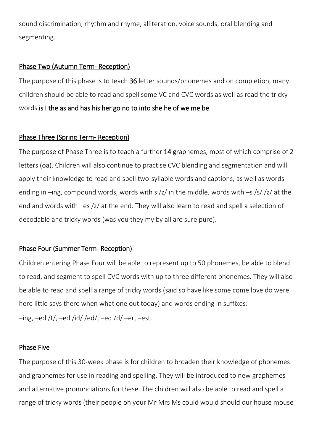sound discrimination, rhythm and rhyme, alliteration, voice sounds, oral blending and segmenting.

# Phase Two (Autumn Term- Reception)

The purpose of this phase is to teach 36 letter sounds/phonemes and on completion, many children should be able to read and spell some VC and CVC words as well as read the tricky words is I the as and has his her go no to into she he of we me be

# Phase Three (Spring Term- Reception)

The purpose of Phase Three is to teach a further 14 graphemes, most of which comprise of 2 letters (oa). Children will also continue to practise CVC blending and segmentation and will apply their knowledge to read and spell two-syllable words and captions, as well as words ending in –ing, compound words, words with s  $\frac{z}{r}$  in the middle, words with –s  $\frac{s}{z}$  /z/ at the end and words with –es /z/ at the end. They will also learn to read and spell a selection of decodable and tricky words (was you they my by all are sure pure).

# Phase Four (Summer Term- Reception)

Children entering Phase Four will be able to represent up to 50 phonemes, be able to blend to read, and segment to spell CVC words with up to three different phonemes. They will also be able to read and spell a range of tricky words (said so have like some come love do were here little says there when what one out today) and words ending in suffixes:

 $-$ ing,  $-$ ed /t/,  $-$ ed /id/ /ed/,  $-$ ed /d/ $-$ er,  $-$ est.

## Phase Five

The purpose of this 30-week phase is for children to broaden their knowledge of phonemes and graphemes for use in reading and spelling. They will be introduced to new graphemes and alternative pronunciations for these. The children will also be able to read and spell a range of tricky words (their people oh your Mr Mrs Ms could would should our house mouse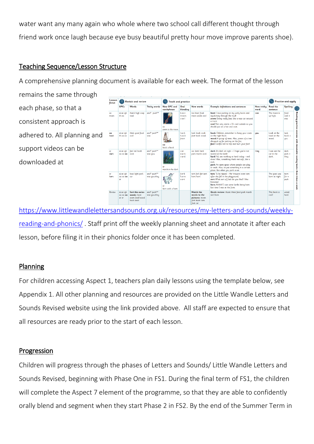water want any many again who whole where two school call different thought through friend work once laugh because eye busy beautiful pretty hour move improve parents shoe).

# Teaching Sequence/Lesson Structure

A comprehensive planning document is available for each week. The format of the lesson

remains the same through Lesson<br>focus Revisit and review Teach and practise Practise and apply Words **GPCs** Tricky words New GPC and Oral<br>catchphrase blending New words Example definitions and sentences tricky Read the each phase, so that a **boot** I love putting on my welly boots and<br>squelching through the mud!<br>**zoom** Going really fast, like a race car around<br>a track.<br>**cool** Not very warm – It's cool outside so you<br>should put on a hat and coat. and\* push\* thank high soap<br>road ai ee igh<br>th oa  $b$ -oo-t too boot food was The moon<br>up high. food<br>cool + Reading oo<br>moon m-00-r<br>c-00-l noon zoom cool was consistent approach is **bracti hook** Children, remember to hang your coats<br>on the right hook.<br>**wood** A group of trees. Also, pieces of a tree<br>chopped up for putting on the fire.<br>**foot** Careful not to trip and hurt your foot!  $\frac{1-00-k}{h-00-k}$ think goat food and\* push\* look book cook<br>foot hook wood Look at the<br>toad on the  $\frac{look}{book +}$ adhered to. All planning and oo<br>book Ã., wood mm 00<br>hook a k support videos can be **dark** It's dark at night - I hope you're not<br>scared of the dark!<br>**hard** You are working so hard today - well<br>done! Also, something that's not soft, like a<br>rock feet tail book car dark hard<br>park march ci  $\begin{array}{lcl} \text{dark} \\ \text{park} \\ \text{they} \end{array}$ ai ee igh<br>oa oo **oo** and\* push<br>was you I can see the<br>car in the<br>dark ē ar<br>d**ar**k reading downloaded at rock.<br>**park** An open space where people can play<br>or walk. Also, to put something in a certain<br>place, like when you park a car. **NOOG** place, like when you park a car.<br> **torn** To be ripped – Her trousers were ton<br>
after she fell in the playground.<br> **sort** What sort of fruit do you like? I like<br>
hananos! and\* push\*\*<br>was you they  $f\text{-or-k}\n  
\nh\text{-or-n}$ torn fork for sort<br>born horn ai ee igh<br>oa oo **oc** boat light park The goat was<br>born at night. born<br>for +<br>push **Elmes** bananas!<br>**born** Ahhhh! I saw some l<br>last time I was at the farm ome lambs beina born weer ..<br>horn with a horr **Match the**<br>**words to the**<br>**pictures**: moo<br>*f*ork book torn Review ai ee igh<br>oo oo **oo Sort the oo/oo** and\* push\*\* Quick review: thank think food park march This book is wood<br>hard zoom food wood<br>hook cook

[https://www.littlewandlelettersandsounds.org.uk/resources/my-letters-and-sounds/weekly](https://www.littlewandlelettersandsounds.org.uk/resources/my-letters-and-sounds/weekly-reading-and-phonics/)[reading-and-phonics/](https://www.littlewandlelettersandsounds.org.uk/resources/my-letters-and-sounds/weekly-reading-and-phonics/) . Staff print off the weekly planning sheet and annotate it after each lesson, before filing it in their phonics folder once it has been completed.

# Planning

For children accessing Aspect 1, teachers plan daily lessons using the template below, see Appendix 1. All other planning and resources are provided on the Little Wandle Letters and Sounds Revised website using the link provided above. All staff are expected to ensure that all resources are ready prior to the start of each lesson.

# Progression

Children will progress through the phases of Letters and Sounds/ Little Wandle Letters and Sounds Revised, beginning with Phase One in FS1. During the final term of FS1, the children will complete the Aspect 7 element of the programme, so that they are able to confidently orally blend and segment when they start Phase 2 in FS2. By the end of the Summer Term in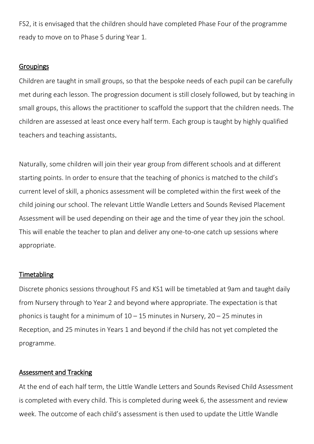FS2, it is envisaged that the children should have completed Phase Four of the programme ready to move on to Phase 5 during Year 1.

## **Groupings**

Children are taught in small groups, so that the bespoke needs of each pupil can be carefully met during each lesson. The progression document is still closely followed, but by teaching in small groups, this allows the practitioner to scaffold the support that the children needs. The children are assessed at least once every half term. Each group is taught by highly qualified teachers and teaching assistants.

Naturally, some children will join their year group from different schools and at different starting points. In order to ensure that the teaching of phonics is matched to the child's current level of skill, a phonics assessment will be completed within the first week of the child joining our school. The relevant Little Wandle Letters and Sounds Revised Placement Assessment will be used depending on their age and the time of year they join the school. This will enable the teacher to plan and deliver any one-to-one catch up sessions where appropriate.

#### **Timetabling**

Discrete phonics sessions throughout FS and KS1 will be timetabled at 9am and taught daily from Nursery through to Year 2 and beyond where appropriate. The expectation is that phonics is taught for a minimum of  $10 - 15$  minutes in Nursery,  $20 - 25$  minutes in Reception, and 25 minutes in Years 1 and beyond if the child has not yet completed the programme.

## Assessment and Tracking

At the end of each half term, the Little Wandle Letters and Sounds Revised Child Assessment is completed with every child. This is completed during week 6, the assessment and review week. The outcome of each child's assessment is then used to update the Little Wandle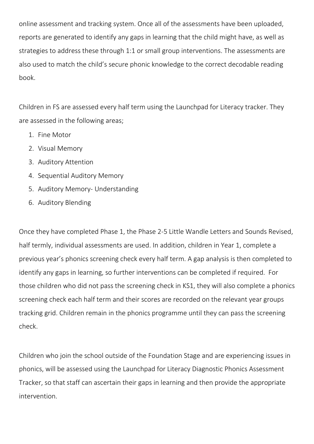online assessment and tracking system. Once all of the assessments have been uploaded, reports are generated to identify any gaps in learning that the child might have, as well as strategies to address these through 1:1 or small group interventions. The assessments are also used to match the child's secure phonic knowledge to the correct decodable reading book.

Children in FS are assessed every half term using the Launchpad for Literacy tracker. They are assessed in the following areas;

- 1. Fine Motor
- 2. Visual Memory
- 3. Auditory Attention
- 4. Sequential Auditory Memory
- 5. Auditory Memory- Understanding
- 6. Auditory Blending

Once they have completed Phase 1, the Phase 2-5 Little Wandle Letters and Sounds Revised, half termly, individual assessments are used. In addition, children in Year 1, complete a previous year's phonics screening check every half term. A gap analysis is then completed to identify any gaps in learning, so further interventions can be completed if required. For those children who did not pass the screening check in KS1, they will also complete a phonics screening check each half term and their scores are recorded on the relevant year groups tracking grid. Children remain in the phonics programme until they can pass the screening check.

Children who join the school outside of the Foundation Stage and are experiencing issues in phonics, will be assessed using the Launchpad for Literacy Diagnostic Phonics Assessment Tracker, so that staff can ascertain their gaps in learning and then provide the appropriate intervention.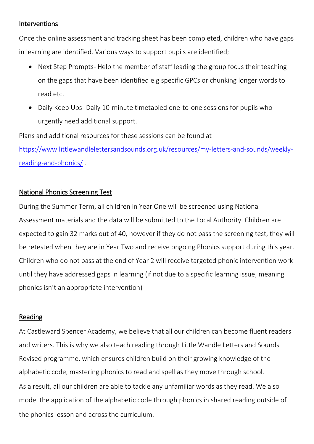## Interventions

Once the online assessment and tracking sheet has been completed, children who have gaps in learning are identified. Various ways to support pupils are identified;

- Next Step Prompts-Help the member of staff leading the group focus their teaching on the gaps that have been identified e.g specific GPCs or chunking longer words to read etc.
- Daily Keep Ups- Daily 10-minute timetabled one-to-one sessions for pupils who urgently need additional support.

Plans and additional resources for these sessions can be found at

[https://www.littlewandlelettersandsounds.org.uk/resources/my-letters-and-sounds/weekly](https://www.littlewandlelettersandsounds.org.uk/resources/my-letters-and-sounds/weekly-reading-and-phonics/)[reading-and-phonics/](https://www.littlewandlelettersandsounds.org.uk/resources/my-letters-and-sounds/weekly-reading-and-phonics/) .

## National Phonics Screening Test

During the Summer Term, all children in Year One will be screened using National Assessment materials and the data will be submitted to the Local Authority. Children are expected to gain 32 marks out of 40, however if they do not pass the screening test, they will be retested when they are in Year Two and receive ongoing Phonics support during this year. Children who do not pass at the end of Year 2 will receive targeted phonic intervention work until they have addressed gaps in learning (if not due to a specific learning issue, meaning phonics isn't an appropriate intervention)

# Reading

At Castleward Spencer Academy, we believe that all our children can become fluent readers and writers. This is why we also teach reading through Little Wandle Letters and Sounds Revised programme, which ensures children build on their growing knowledge of the alphabetic code, mastering phonics to read and spell as they move through school. As a result, all our children are able to tackle any unfamiliar words as they read. We also model the application of the alphabetic code through phonics in shared reading outside of the phonics lesson and across the curriculum.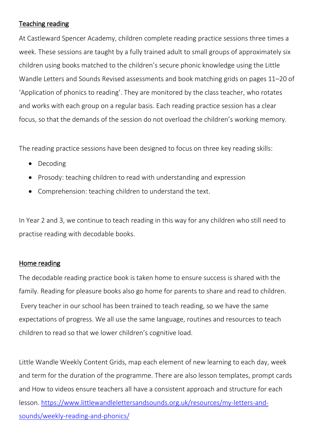# Teaching reading

At Castleward Spencer Academy, children complete reading practice sessions three times a week. These sessions are taught by a fully trained adult to small groups of approximately six children using books matched to the children's secure phonic knowledge using the Little Wandle Letters and Sounds Revised assessments and book matching grids on pages 11–20 of 'Application of phonics to reading'. They are monitored by the class teacher, who rotates and works with each group on a regular basis. Each reading practice session has a clear focus, so that the demands of the session do not overload the children's working memory.

The reading practice sessions have been designed to focus on three key reading skills:

- Decoding
- Prosody: teaching children to read with understanding and expression
- Comprehension: teaching children to understand the text.

In Year 2 and 3, we continue to teach reading in this way for any children who still need to practise reading with decodable books.

# Home reading

The decodable reading practice book is taken home to ensure success is shared with the family. Reading for pleasure books also go home for parents to share and read to children. Every teacher in our school has been trained to teach reading, so we have the same expectations of progress. We all use the same language, routines and resources to teach children to read so that we lower children's cognitive load.

Little Wandle Weekly Content Grids, map each element of new learning to each day, week and term for the duration of the programme. There are also lesson templates, prompt cards and How to videos ensure teachers all have a consistent approach and structure for each lesson. [https://www.littlewandlelettersandsounds.org.uk/resources/my-letters-and](https://www.littlewandlelettersandsounds.org.uk/resources/my-letters-and-sounds/weekly-reading-and-phonics/)[sounds/weekly-reading-and-phonics/](https://www.littlewandlelettersandsounds.org.uk/resources/my-letters-and-sounds/weekly-reading-and-phonics/)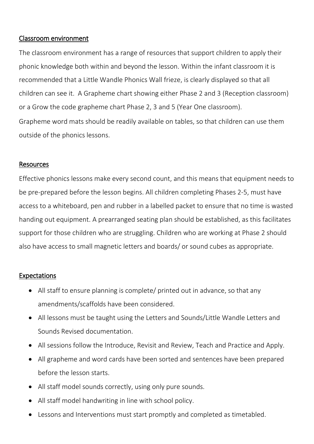# Classroom environment

The classroom environment has a range of resources that support children to apply their phonic knowledge both within and beyond the lesson. Within the infant classroom it is recommended that a Little Wandle Phonics Wall frieze, is clearly displayed so that all children can see it. A Grapheme chart showing either Phase 2 and 3 (Reception classroom) or a Grow the code grapheme chart Phase 2, 3 and 5 (Year One classroom). Grapheme word mats should be readily available on tables, so that children can use them outside of the phonics lessons.

## Resources

Effective phonics lessons make every second count, and this means that equipment needs to be pre-prepared before the lesson begins. All children completing Phases 2-5, must have access to a whiteboard, pen and rubber in a labelled packet to ensure that no time is wasted handing out equipment. A prearranged seating plan should be established, as this facilitates support for those children who are struggling. Children who are working at Phase 2 should also have access to small magnetic letters and boards/ or sound cubes as appropriate.

# Expectations

- All staff to ensure planning is complete/ printed out in advance, so that any amendments/scaffolds have been considered.
- All lessons must be taught using the Letters and Sounds/Little Wandle Letters and Sounds Revised documentation.
- All sessions follow the Introduce, Revisit and Review, Teach and Practice and Apply.
- All grapheme and word cards have been sorted and sentences have been prepared before the lesson starts.
- All staff model sounds correctly, using only pure sounds.
- All staff model handwriting in line with school policy.
- Lessons and Interventions must start promptly and completed as timetabled.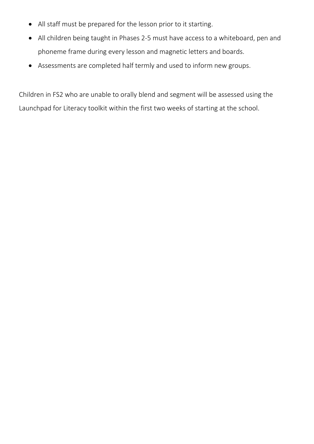- All staff must be prepared for the lesson prior to it starting.
- All children being taught in Phases 2-5 must have access to a whiteboard, pen and phoneme frame during every lesson and magnetic letters and boards.
- Assessments are completed half termly and used to inform new groups.

Children in FS2 who are unable to orally blend and segment will be assessed using the Launchpad for Literacy toolkit within the first two weeks of starting at the school.